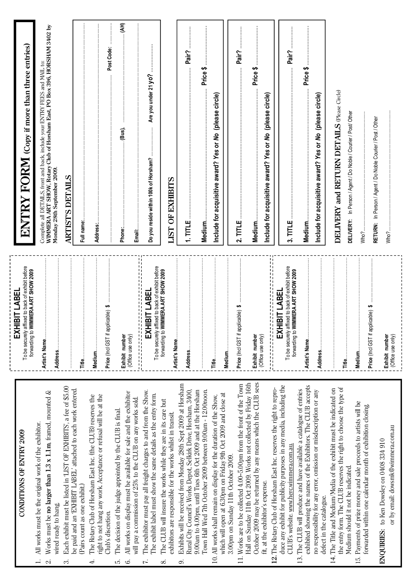| CONDITIONS OF ENTRY 2009                                                                                                                                                                                                                                               | To be securely affixed to back of exhibit before<br>forwarding to WIMMERA ART SHOW 2009<br>LABE<br>$\overline{\overline{\mathbf{a}}}$<br><b>EXHII</b> | $\mathrm{ENTRY}$ FORM (Copy if more than three entries)                                                                                                                                 |
|------------------------------------------------------------------------------------------------------------------------------------------------------------------------------------------------------------------------------------------------------------------------|-------------------------------------------------------------------------------------------------------------------------------------------------------|-----------------------------------------------------------------------------------------------------------------------------------------------------------------------------------------|
| All works must be the original work of the exhibitor.<br>$\div$                                                                                                                                                                                                        |                                                                                                                                                       |                                                                                                                                                                                         |
| Works must be no larger than $1.3 \times 1.1$ m, framed, mounted &<br>wired ready to hang<br>$\sim$                                                                                                                                                                    | Artist's Name                                                                                                                                         | Complete all DETAILS, front and back, include your ENTRY FEES and MAIL to:<br>WIMMERA ART SHOW, Rotary Club of Horsham East, PO Box 396, HORSHAM 3402 by<br>Monday 28th September 2009. |
| Each exhibit must be listed in 'LIST OF EXHIBITS', a fee of \$5.00<br>ကံ                                                                                                                                                                                               |                                                                                                                                                       | <b>ARTIST'S DETAILS</b>                                                                                                                                                                 |
| be paid and an 'EXHIBIT LABEL' attached to each work entered.<br>(Pairs count as one exhibit.)                                                                                                                                                                         |                                                                                                                                                       | Full name:                                                                                                                                                                              |
| right to not hang any work. Acceptance or refusal will be at the<br>The Rotary Club of Horsham East Inc. (the CLUB) reserves the<br>Club's discretion.<br>₹                                                                                                            | H<br>icable)<br>Price (Incl GST if appli<br>Medium                                                                                                    | Post Code:<br>Address:                                                                                                                                                                  |
| All works on display must be available for sale and the exhibitor<br>The decision of the judge appointed by the CLUB is final.<br>r.<br>6.                                                                                                                             | Exhibit number<br>(Office use only)                                                                                                                   | $\cdot$ (AH)<br>(Bus),<br>Phone:                                                                                                                                                        |
| The exhibitor must pay all freight charges to and from the Show.<br>The exhibit label must show the same details as the entry form.<br>will pay a commission of 25% to the CLUB on any works sold.                                                                     | ч.<br>ч.<br>To be securely affixed to back of exhibit before<br>٠,<br><b>BIT LABEI</b><br>计可归口 计可归口计<br>EXHI                                          | Are you under 21 yo?<br>Do you reside within 100k of Horsham?<br>Email:                                                                                                                 |
| The CLUB will insure the works while they are in its care but<br>exhibitors are responsible for the works whilst in transit.<br>∞                                                                                                                                      | MMERA ART SHOW 2009<br>forwarding to WII<br>Artist's Name                                                                                             | OF EXHIBITS<br><b>LIST</b>                                                                                                                                                              |
| Exhibits will be received from Monday 28th Sept 2009 at Horsham<br>Rural City Council's Works Depot, Selkirk Drive, Horsham, 3400,<br>Town Hall Wed 7th October 2009 between 9.00am - 12.00noon.<br>9.00am to 4.00pm, until Tues 6th Oct 2009 and at the Horsham<br>c, | Address                                                                                                                                               | Pair?<br>↮<br><b>Price</b><br>$1.$ TITLE<br>Medium                                                                                                                                      |
| which will open at 6.30pm on Friday 9th Oct 2009 and close at<br>All works shall remain on display for the duration of the Show,<br>$\overline{10}$ .                                                                                                                  | Medium<br>Title                                                                                                                                       | (please circle)<br>Include for acquisitive award? Yes or No                                                                                                                             |
| 3.00pm on Sunday 11th October 2009.                                                                                                                                                                                                                                    |                                                                                                                                                       |                                                                                                                                                                                         |
| October 2009 may be returned by any means which the CLUB sees<br>Hall on Sunday 11th Oct 2009. Works not collected by Friday 16th<br>Works are to be collected 4.00-5.00pm from the front of the Town<br>fit, at the exhibitor's expense.<br>$\equiv$                  | ↮<br>icable)<br>Price (Incl GST if appli<br>Exhibit number<br>(Office use only)                                                                       | Pair?<br>↮<br><b>Price</b><br>circle<br>(please<br>or No<br>Include for acquisitive award? Yes<br>$2.$ TITLE<br><b>Medium</b>                                                           |
| duce any exhibit for publicity purposes in any media, including the<br>12. The Rotary Club of Horsham East Inc. reserves the right to repro-<br>CLUB's website. www.herc.wimmera.com.au.                                                                               | л,<br>٠,<br>To be securely affixed to back of exhibit before<br>forwarding to WIMMERA ART SHOW 2009<br>BIT LABEI<br>H<br><b>HIXE</b>                  | Pair?<br>$3.$ TITLE                                                                                                                                                                     |
| exhibited showing the names of the Exhibitors. The CLUB accepts<br>The CLUB will produce and have available a catalogue of entries<br><u>13.</u>                                                                                                                       | Artist's Name                                                                                                                                         | Price \$<br>Medium.                                                                                                                                                                     |
| no responsibility for any error, omission or misdescription or any<br>defect in the catalogue.                                                                                                                                                                         |                                                                                                                                                       | (please circle)<br>or No<br>Include for acquisitive award? Yes                                                                                                                          |
| the entry form. The CLUB reserves the right to choose the type of<br>14. The Title and Medium/Media of the exhibit must be indicated on<br>Medium should it not be indicated.                                                                                          | Title                                                                                                                                                 | DELIVERY and RETURN DETAILS (Please Circle)<br>In Person / Agent / Do Noble / Courier / Post/ Other<br>DELIVERY:                                                                        |
| Payments of prize money and sale proceeds to artists will be<br>forwarded within one calendar month of exhibition closing<br>$\overline{15}$ .                                                                                                                         | ↮<br>Price (Incl GST if applicable)<br>Medium                                                                                                         | Who?                                                                                                                                                                                    |
| or by email: dowsmk@wimmera.com.au<br>ENQUIRIES: to Ken Dowsley on 0408 334 910                                                                                                                                                                                        | Exhibit number<br>(Office use only)                                                                                                                   | In Person / Agent / Do Noble Courier / Post / Other<br>RETURN:<br>Who?                                                                                                                  |